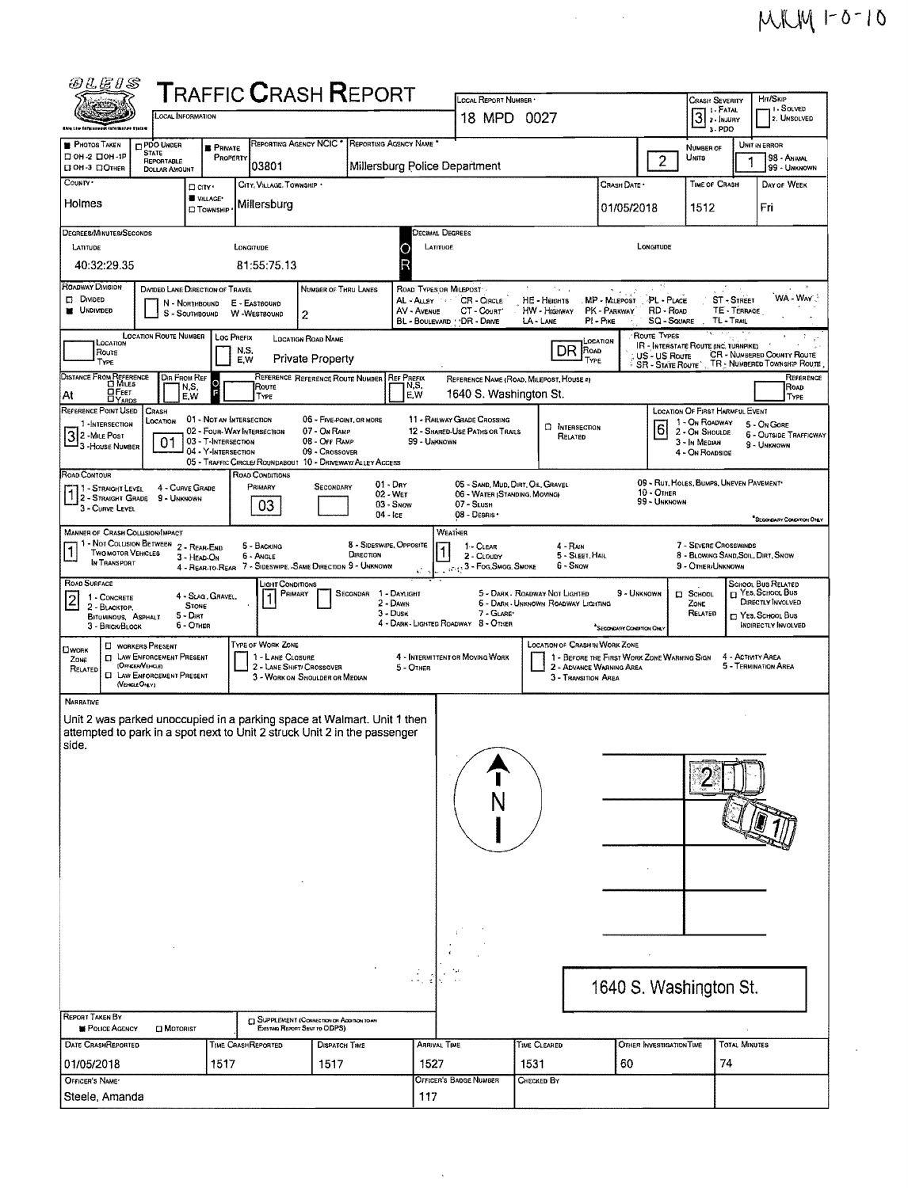$MWW 10010$ 

 $\overline{\phantom{a}}$ 

 $\label{eq:2.1} \frac{1}{\sqrt{2}}\int_{\mathbb{R}^3}\frac{1}{\sqrt{2}}\left(\frac{1}{\sqrt{2}}\right)^2\frac{1}{\sqrt{2}}\left(\frac{1}{\sqrt{2}}\right)^2\frac{1}{\sqrt{2}}\left(\frac{1}{\sqrt{2}}\right)^2.$ 

| <i>84.E1S</i>                                                                                                                                                                                                                               |                                                       |                                                   |                                                             |                                |                                      |                         |                                                            |                                |                                                                         |                               |                                   |                                                             |                             |                                                                        |
|---------------------------------------------------------------------------------------------------------------------------------------------------------------------------------------------------------------------------------------------|-------------------------------------------------------|---------------------------------------------------|-------------------------------------------------------------|--------------------------------|--------------------------------------|-------------------------|------------------------------------------------------------|--------------------------------|-------------------------------------------------------------------------|-------------------------------|-----------------------------------|-------------------------------------------------------------|-----------------------------|------------------------------------------------------------------------|
| <b>TRAFFIC CRASH REPORT</b><br>LOCAL INFORMATION                                                                                                                                                                                            |                                                       |                                                   |                                                             |                                |                                      |                         | LOCAL REPORT NUMBER<br>18 MPD 0027                         |                                |                                                                         |                               |                                   | <b>CRASH SEVERITY</b><br>1 - FATAL                          |                             | Hrt/Skip<br>i i - Solved<br>2. UNSOLVED                                |
| <b>Information System</b>                                                                                                                                                                                                                   |                                                       |                                                   | REPORTING AGENCY NCIC                                       |                                | REPORTING AGENCY NAME                |                         |                                                            |                                |                                                                         |                               |                                   | 3. PDO                                                      |                             |                                                                        |
| PHOTOS TAKEN<br>□ ОН-2 □ ОН-1Р                                                                                                                                                                                                              | PDO UNDER<br><b>STATE</b><br>REPORTABLE               | <b>B</b> PRIVATE<br>PROPERTY                      |                                                             |                                |                                      |                         |                                                            |                                |                                                                         |                               | $\overline{2}$                    | NUMBER OF<br><b>UNITS</b>                                   |                             | UNIT IN ERROR<br>98 - ANIMAL                                           |
| <b>П ОН-3 ПОТНЕR</b><br>COUNTY .                                                                                                                                                                                                            | <b>DOLLAR AMOUNT</b>                                  | D CITY                                            | 03801<br>CITY, VILLAGE, TOWNSHIP                            |                                |                                      |                         | Millersburg Police Department                              |                                |                                                                         | CRASH DATE *                  |                                   | TIME OF CRASH                                               |                             | 99 - UNKNOWN<br>DAY OF WEEK                                            |
| Holmes                                                                                                                                                                                                                                      |                                                       | VILLAGE*<br><b>D</b> TOWNSHIP                     | Millersburg                                                 |                                |                                      |                         |                                                            |                                |                                                                         | 01/05/2018                    |                                   | 1512                                                        |                             | Fri                                                                    |
|                                                                                                                                                                                                                                             |                                                       |                                                   |                                                             |                                |                                      |                         |                                                            |                                |                                                                         |                               |                                   |                                                             |                             |                                                                        |
| DEGREES/MINUTES/SECONDS<br>LATITUDE                                                                                                                                                                                                         |                                                       |                                                   | LONGITUDE                                                   |                                |                                      | LATITUDE                | Decimal Degrees                                            |                                |                                                                         |                               | LONGITUDE                         |                                                             |                             |                                                                        |
| 40:32:29.35                                                                                                                                                                                                                                 |                                                       |                                                   | 81:55:75.13                                                 |                                |                                      |                         |                                                            |                                |                                                                         |                               |                                   |                                                             |                             |                                                                        |
| ROADWAY DIVISION                                                                                                                                                                                                                            |                                                       | DIVIDED LANE DIRECTION OF TRAVEL                  |                                                             | NUMBER OF THRU LANES           |                                      | ROAD TYPES ON MILEPOST  |                                                            |                                | ta la                                                                   | $\gamma_{\rm eff}$            |                                   |                                                             |                             |                                                                        |
| <b>DI DIVIDED</b><br><b>UNDIVIDED</b>                                                                                                                                                                                                       |                                                       | N - Northbound<br>S - SOUTHBOUND                  | E - EASTBOUND<br>W-WESTBOUND                                | $\overline{c}$                 |                                      | AL-ALLEY<br>AV - AVENUE | CR - CIRCLE<br>CT - Count"                                 | HE - Haans<br>HW - HIGHWAY     |                                                                         | MP - MILEPOST<br>PK - PARKWAY | -PL - PLACE<br>RD - Roap          |                                                             | ST - STREET<br>TE - TERRACE | WA-WAY                                                                 |
|                                                                                                                                                                                                                                             | <b>LOCATION ROUTE NUMBER</b>                          | Loc Prefix                                        |                                                             | LOCATION ROAD NAME             |                                      |                         | BL - BOULEVARD : DR - DRIVE                                | LA-LANE                        | PI - Pike                                                               |                               | <b>SQ - SOUARE</b><br>ROUTE TYPES |                                                             | TL-TRAIL                    |                                                                        |
| LOCATION<br>Route                                                                                                                                                                                                                           |                                                       |                                                   | N,S,<br>E.W                                                 |                                |                                      |                         |                                                            |                                | CCATION<br>DR.<br><b>ROAD</b><br>TYPE                                   |                               | US - US Route                     | IR - INTERSTATE ROUTE (INC. TURNPIKE)                       |                             | CR - NUMBERED COUNTY ROUTE                                             |
| <b>Private Property</b><br>TYPE<br>TR - NUMBERED TOWNSHIP ROUTE<br><b>SR - STATE ROUTE</b><br>DISTANCE FROM REFERENCE<br>REFERENCE REFERENCE ROUTE NUMBER REF PREFIX<br>DIR FROM REF<br>REFERENCE NAME (ROAD, MILEPOST, HOUSE #)<br>$\circ$ |                                                       |                                                   |                                                             |                                |                                      |                         |                                                            |                                |                                                                         |                               |                                   | REFERENCE                                                   |                             |                                                                        |
| ДЕЕЕТ<br>Αt<br><b>DYARDS</b>                                                                                                                                                                                                                |                                                       | N,S,<br>E,W                                       | Route<br>TYPE                                               |                                |                                      | N,S,<br>EW              | 1640 S. Washington St.                                     |                                |                                                                         |                               |                                   |                                                             |                             | ROAD<br>TYPE                                                           |
| REFERENCE POINT USED<br>1-INTERSECTION                                                                                                                                                                                                      | CRASH<br>LOCATION                                     | 01 - Not an Intersection                          |                                                             | 06 - FIVE-POINT, OR MORE       |                                      |                         | 11 - RAILWAY GRADE CROSSING                                |                                | <b>D</b> INTERSECTION                                                   |                               |                                   | LOCATION OF FIRST HARMFUL EVENT<br>1 - On ROADWAY           |                             | 5 - On Gore                                                            |
| 32-MILE POST<br>3-House NUMBER                                                                                                                                                                                                              | 01                                                    | 02 - Four-Way Intersection<br>03 - T-INTERSECTION |                                                             | 07 - On RAMP<br>08 - Off RAMP  |                                      | 99 - UNKNOWN            | 12 - SHARED-USE PATHS OR TRAILS                            |                                | Related                                                                 |                               | 6                                 | 2 - ON SHOULDE<br>3 - In Median                             |                             | <b>6 - OUTSIDE TRAFFICWAY</b><br>9 - UNKNOWN                           |
|                                                                                                                                                                                                                                             |                                                       | 04 - Y-INTERSECTION                               | 05 - TRAFFIC CIRCLE/ ROUNDABOUT 10 - DRIVEWAY/ ALLEY ACCESS | 09 - Crossover                 |                                      |                         |                                                            |                                |                                                                         |                               |                                   | 4 - On ROADSIDE                                             |                             |                                                                        |
| ROAD CONTOUR<br>11 - STRAIGHT LEVEL                                                                                                                                                                                                         |                                                       | 4 - CURVE GRADE                                   | ROAD CONDITIONS<br>PRIMARY                                  | SECONDARY                      | $01 - \text{Dar}$                    |                         | 05 - SAND, MUD, DIRT, OIL, GRAVEL                          |                                |                                                                         |                               | $10 -$ OTHER                      | 09 - RUT, HOLES, BUMPS, UNEVEN PAVEMENT                     |                             |                                                                        |
| <sup>1 -</sup> STRAIGHT LEVEL<br>3 - CURVE LEVEL                                                                                                                                                                                            | 9 - Unknown                                           |                                                   | 03                                                          |                                | 02 - Wet<br>03 - Snow<br>$04 -$ ICE  |                         | 06 - WATER (STANDING, MOVING)<br>07 - SLUSH<br>08 - DEBRIS |                                |                                                                         |                               | 99 - UNKNOWN                      |                                                             |                             |                                                                        |
| <b>MANNER OF CRASH COLLISION/IMPACT</b>                                                                                                                                                                                                     |                                                       |                                                   |                                                             |                                |                                      |                         | WEATHER                                                    |                                |                                                                         |                               |                                   |                                                             |                             | <sup>*</sup> SECONDARY CONDITION ONLY                                  |
| 1 - Not Collision Between 2 - Rear-End<br>$\overline{1}$<br><b>TWO MOTOR VEHICLES</b>                                                                                                                                                       |                                                       | 3 - HEAD-ON                                       | 5 - BACKING<br><b>6 - ANGLE</b>                             |                                | 8 - Sideswipe, Opposite<br>DIRECTION |                         | 1 - CLEAR<br>2 - CLOUDY                                    |                                | 4 - RAIN<br>5 - SLEET, HAIL                                             |                               |                                   | 7 - SEVERE CROSSWINDS<br>8 - BLOWING SAND, SOIL, DIRT, SNOW |                             |                                                                        |
| IN TRANSPORT                                                                                                                                                                                                                                |                                                       |                                                   | 4 - REAR-TO-REAR 7 - SIDESWIPE, -SAME DIRECTION 9 - UNKNOWN |                                |                                      |                         | $\bar{C}_1$ , , , 3 - Fog, Smog, Smoke                     |                                | <b>6 - SNOW</b>                                                         |                               |                                   | 9 - Öther/Unknown                                           |                             |                                                                        |
| ROAD SURFACE<br>$\overline{2}$<br>1 - CONCRETE                                                                                                                                                                                              |                                                       | 4 - SLAG, GRAVEL,                                 | JGHT CONDITIONS<br>PRIMARY                                  |                                | <b>SECONDAR</b><br>2 - DAWN          | 1 - DAYLIGHT            |                                                            | 5 - DARK - ROADWAY NOT LIGHTED | 6 - DARK - UNKNOWN ROADWAY LIGHTING                                     | 9 - UNKNOWN                   |                                   | <b>D</b> SCHOOL                                             |                             | SCHOOL BUS RELATED<br><sup>YES</sup> , SCHOOL BUS<br>DIRECTLY INVOLVED |
| 2 - BLACKTOP,<br>BITUMINOUS, ASPHALT                                                                                                                                                                                                        |                                                       | <b>STONE</b><br>$5 - DIII$                        |                                                             |                                | $3 - D$ USK                          |                         | 7 - GLARE'<br>4 - DARK - LIGHTED ROADWAY 8 - OTHER         |                                |                                                                         |                               |                                   | ZONE<br>RELATED                                             |                             | □ YES. SCHOOL Bus<br><b>INDIRECTLY INVOLVED</b>                        |
| 3 - BRICK/BLOCK                                                                                                                                                                                                                             | <b>D</b> WORKERS PRESENT                              | 6 - OTHER                                         | TYPE OF WORK ZONE                                           |                                |                                      |                         |                                                            |                                | <b>LOCATION OF CRASH IN WORK ZONE</b>                                   | SECONDARY CONDITION ON        |                                   |                                                             |                             |                                                                        |
| <b>LI WORK</b><br>ZONE                                                                                                                                                                                                                      | <b>CI LAW ENFORCEMENT PRESENT</b><br>(Officer/Vercie) |                                                   | 1 - LANE CLOSURE                                            | 2 - LANE SHIFT/ CROSSOVER      |                                      | 5 - OTHER               | 4 - INTERMITTENT OR MOVING WORK                            |                                | 1 - BEFORE THE FIRST WORK ZONE WARNING SIGN<br>2 - ADVANCE WARNING AREA |                               |                                   |                                                             |                             | 4 - ACTIVITY AREA<br>5 - TERMINATION AREA                              |
| RELATED                                                                                                                                                                                                                                     | <b>CI LAW ENFORCEMENT PRESENT</b><br>(VENCLEONLY)     |                                                   |                                                             | 3 - WORK ON SHOULDER OR MEDIAN |                                      |                         |                                                            |                                | 3 - TRANSITION AREA                                                     |                               |                                   |                                                             |                             |                                                                        |
| <b>NARRATIVE</b>                                                                                                                                                                                                                            |                                                       |                                                   |                                                             |                                |                                      |                         |                                                            |                                |                                                                         |                               |                                   |                                                             |                             |                                                                        |
| Unit 2 was parked unoccupied in a parking space at Walmart. Unit 1 then<br>attempted to park in a spot next to Unit 2 struck Unit 2 in the passenger                                                                                        |                                                       |                                                   |                                                             |                                |                                      |                         |                                                            |                                |                                                                         |                               |                                   |                                                             |                             |                                                                        |
| side.                                                                                                                                                                                                                                       |                                                       |                                                   |                                                             |                                |                                      |                         |                                                            |                                |                                                                         |                               |                                   |                                                             |                             |                                                                        |
|                                                                                                                                                                                                                                             |                                                       |                                                   |                                                             |                                |                                      |                         |                                                            |                                |                                                                         |                               |                                   |                                                             |                             |                                                                        |
|                                                                                                                                                                                                                                             |                                                       |                                                   |                                                             |                                |                                      |                         |                                                            |                                |                                                                         |                               |                                   |                                                             |                             |                                                                        |
|                                                                                                                                                                                                                                             |                                                       |                                                   |                                                             |                                |                                      |                         |                                                            |                                |                                                                         |                               |                                   |                                                             |                             |                                                                        |
|                                                                                                                                                                                                                                             |                                                       |                                                   |                                                             |                                |                                      |                         |                                                            |                                |                                                                         |                               |                                   |                                                             |                             |                                                                        |
|                                                                                                                                                                                                                                             |                                                       |                                                   |                                                             |                                |                                      |                         |                                                            |                                |                                                                         |                               |                                   |                                                             |                             |                                                                        |
|                                                                                                                                                                                                                                             |                                                       |                                                   |                                                             |                                |                                      |                         |                                                            |                                |                                                                         |                               |                                   |                                                             |                             |                                                                        |
|                                                                                                                                                                                                                                             |                                                       |                                                   |                                                             |                                |                                      |                         |                                                            |                                |                                                                         |                               |                                   |                                                             |                             |                                                                        |
|                                                                                                                                                                                                                                             |                                                       |                                                   |                                                             |                                |                                      |                         |                                                            |                                |                                                                         |                               |                                   |                                                             |                             |                                                                        |
|                                                                                                                                                                                                                                             |                                                       |                                                   |                                                             |                                |                                      |                         |                                                            |                                |                                                                         |                               |                                   |                                                             |                             |                                                                        |
|                                                                                                                                                                                                                                             |                                                       |                                                   |                                                             |                                |                                      |                         |                                                            |                                |                                                                         |                               |                                   |                                                             |                             |                                                                        |
|                                                                                                                                                                                                                                             |                                                       |                                                   |                                                             |                                |                                      |                         |                                                            |                                |                                                                         |                               |                                   | 1640 S. Washington St.                                      |                             |                                                                        |
| <b>REPORT TAKEN BY</b>                                                                                                                                                                                                                      |                                                       |                                                   | <b>CI SUPPLEMENT (CORRECTION OF ADDITION TO AN</b>          |                                |                                      |                         |                                                            |                                |                                                                         |                               |                                   |                                                             |                             |                                                                        |
| POLICE AGENCY                                                                                                                                                                                                                               | $\Box$ Motorist                                       |                                                   |                                                             | Exteriora Report Sent to ODPS) |                                      |                         |                                                            |                                |                                                                         |                               |                                   |                                                             |                             |                                                                        |
| DATE CRASHREPORTED                                                                                                                                                                                                                          |                                                       | 1517                                              | TIME CRASHREPORTED                                          | <b>DISPATCH TIME</b>           |                                      | ARRIVAL TIME<br>1527    |                                                            | <b>TIME CLEARED</b><br>1531    |                                                                         | 60                            | OTHER INVESTIGATION TIME          | 74                                                          | TOTAL MINUTES               |                                                                        |
| 01/05/2018<br>OFFICER'S NAME*                                                                                                                                                                                                               |                                                       |                                                   |                                                             | 1517                           |                                      |                         | OFFICER'S BADGE NUMBER                                     | CHECKED BY                     |                                                                         |                               |                                   |                                                             |                             |                                                                        |
| Steele, Amanda                                                                                                                                                                                                                              |                                                       |                                                   |                                                             |                                |                                      |                         |                                                            |                                |                                                                         |                               |                                   |                                                             |                             |                                                                        |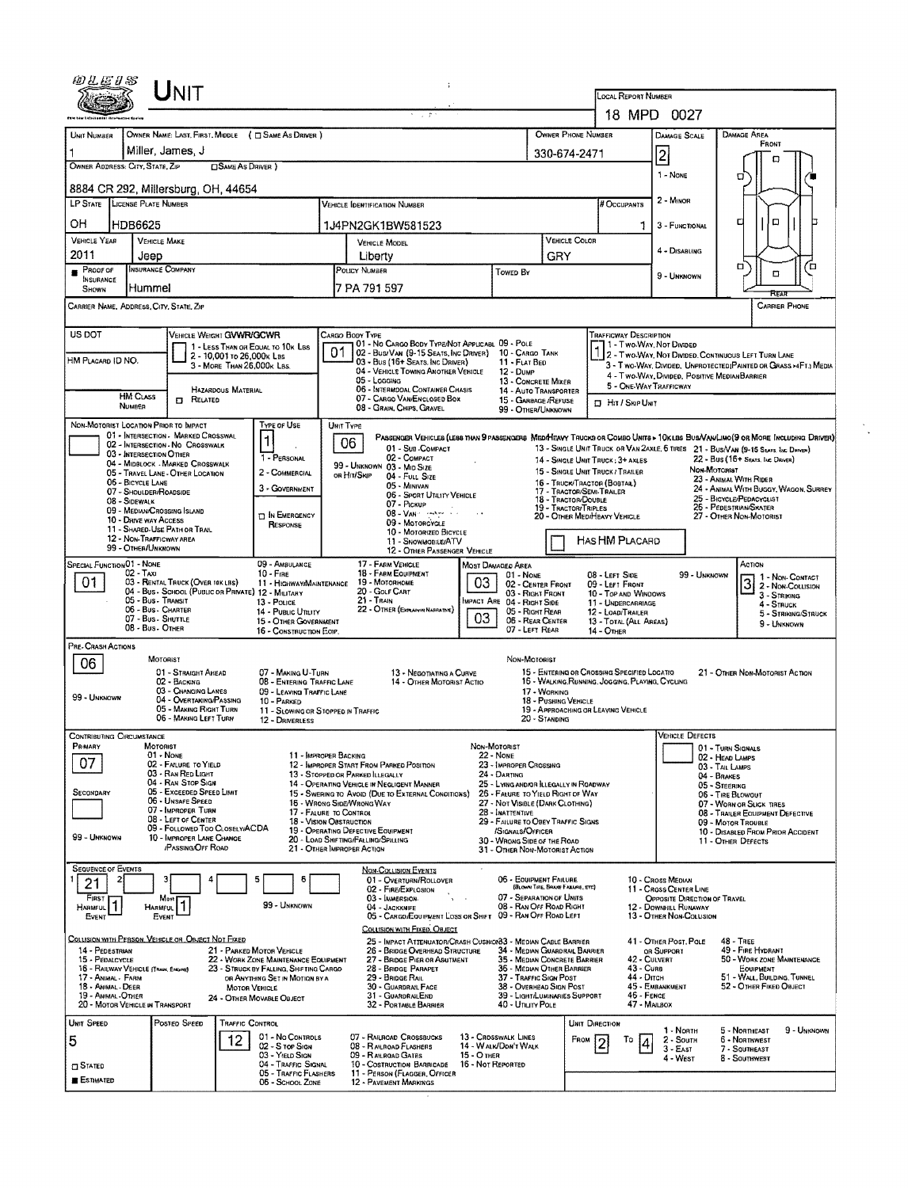|                                                                                                                                                             | Unit                                                                                     |                                                                       |                                                         |                                                                          |                                                                                                                   |                                                                                                                                                                                                  |                                                                                                    |                                                                                                                                   |                                                                       |                                                  |                                            |                                                                                   | LOCAL REPORT NUMBER<br>18 MPD 0027                                  |                                                                                                                               |  |  |  |  |
|-------------------------------------------------------------------------------------------------------------------------------------------------------------|------------------------------------------------------------------------------------------|-----------------------------------------------------------------------|---------------------------------------------------------|--------------------------------------------------------------------------|-------------------------------------------------------------------------------------------------------------------|--------------------------------------------------------------------------------------------------------------------------------------------------------------------------------------------------|----------------------------------------------------------------------------------------------------|-----------------------------------------------------------------------------------------------------------------------------------|-----------------------------------------------------------------------|--------------------------------------------------|--------------------------------------------|-----------------------------------------------------------------------------------|---------------------------------------------------------------------|-------------------------------------------------------------------------------------------------------------------------------|--|--|--|--|
| UNIT NUMBER                                                                                                                                                 |                                                                                          |                                                                       |                                                         | OWNER NAME: LAST, FIRST, MIDDLE ( C SAME AS DRIVER )                     |                                                                                                                   |                                                                                                                                                                                                  |                                                                                                    |                                                                                                                                   |                                                                       | OWNER PHONE NUMBER                               |                                            |                                                                                   | DAMAGE SCALE                                                        | <b>DAMAGE AREA</b>                                                                                                            |  |  |  |  |
|                                                                                                                                                             | Miller, James, J                                                                         |                                                                       |                                                         |                                                                          |                                                                                                                   |                                                                                                                                                                                                  |                                                                                                    | 330-674-2471                                                                                                                      |                                                                       |                                                  | $\overline{2}$                             | FRONT                                                                             |                                                                     |                                                                                                                               |  |  |  |  |
| OWNER ADDRESS: CITY, STATE, ZIP                                                                                                                             |                                                                                          |                                                                       | <b>CISAME AS DRIVER</b> )                               |                                                                          |                                                                                                                   |                                                                                                                                                                                                  |                                                                                                    |                                                                                                                                   |                                                                       |                                                  |                                            |                                                                                   | 1 - NONE                                                            | о                                                                                                                             |  |  |  |  |
| 8884 CR 292, Millersburg, OH, 44654                                                                                                                         |                                                                                          |                                                                       |                                                         |                                                                          |                                                                                                                   |                                                                                                                                                                                                  |                                                                                                    |                                                                                                                                   |                                                                       |                                                  |                                            |                                                                                   |                                                                     | o                                                                                                                             |  |  |  |  |
| LP STATE LICENSE PLATE NUMBER<br><b>VEHICLE IDENTIFICATION NUMBER</b>                                                                                       |                                                                                          |                                                                       |                                                         |                                                                          |                                                                                                                   |                                                                                                                                                                                                  |                                                                                                    |                                                                                                                                   |                                                                       |                                                  |                                            | # Occupants                                                                       | 2 - MINOR                                                           |                                                                                                                               |  |  |  |  |
| ОH                                                                                                                                                          | HDB6625                                                                                  |                                                                       |                                                         |                                                                          |                                                                                                                   |                                                                                                                                                                                                  | 1J4PN2GK1BW581523                                                                                  |                                                                                                                                   |                                                                       |                                                  |                                            |                                                                                   | 3 - FUNCTIONAL                                                      | ۵<br>с<br>n                                                                                                                   |  |  |  |  |
| <b>VEHICLE YEAR</b><br>2011                                                                                                                                 | VEHICLE MAKE<br>Jeep                                                                     |                                                                       |                                                         |                                                                          |                                                                                                                   | <b>VEHICLE MODEL</b><br>Liberty                                                                                                                                                                  |                                                                                                    |                                                                                                                                   |                                                                       | VEHICLE COLOR<br>GRY                             |                                            |                                                                                   | 4 - Disabling                                                       |                                                                                                                               |  |  |  |  |
| Proof of                                                                                                                                                    | INSURANCE COMPANY                                                                        |                                                                       |                                                         |                                                                          | POLICY NUMBER<br>Towed By                                                                                         |                                                                                                                                                                                                  |                                                                                                    |                                                                                                                                   |                                                                       |                                                  |                                            |                                                                                   | 9 - UNKNOWN                                                         | п<br>ם<br>о                                                                                                                   |  |  |  |  |
| <b>INSURANCE</b><br>SHOWN                                                                                                                                   | Hummel                                                                                   |                                                                       |                                                         |                                                                          | 7 PA 791 597                                                                                                      |                                                                                                                                                                                                  |                                                                                                    |                                                                                                                                   |                                                                       |                                                  |                                            |                                                                                   |                                                                     |                                                                                                                               |  |  |  |  |
| CARRIER NAME, ADDRESS, CITY, STATE, ZIP                                                                                                                     |                                                                                          |                                                                       |                                                         |                                                                          |                                                                                                                   |                                                                                                                                                                                                  |                                                                                                    |                                                                                                                                   |                                                                       |                                                  |                                            |                                                                                   |                                                                     | <b>CARRIER PHONE</b>                                                                                                          |  |  |  |  |
| US DOT                                                                                                                                                      |                                                                                          | VEHICLE WEIGHT GVWR/GCWR                                              |                                                         |                                                                          |                                                                                                                   | Cargo Body Type                                                                                                                                                                                  | 01 - No Cargo Body Type/Not Applicabl 09 - Pole                                                    |                                                                                                                                   |                                                                       |                                                  |                                            | Trafficway Description<br>1 - Two Way, Not Divided                                |                                                                     |                                                                                                                               |  |  |  |  |
| HM Placard ID NO.                                                                                                                                           |                                                                                          |                                                                       | 2 - 10,001 to 26,000x Las<br>3 - MORE THAN 26,000K LBS. | 1 - LESS THAN OR EQUAL TO 10K LBS                                        | 01                                                                                                                |                                                                                                                                                                                                  | 02 - Busi Van (9-15 Seats, Inc Driver) 10 - Cargo Tank<br>03 - Bus (16+ Seats, Inc Driver)         |                                                                                                                                   | 11 - FLAT BED                                                         |                                                  |                                            |                                                                                   |                                                                     | 2 - Two-Way, Not Divided. Continuous LEFT TURN LANE<br>3 - Two-WAY, DIVIDED, UNPROTECTED (PAINTED OR GRASS >4FT.) MEDIA       |  |  |  |  |
|                                                                                                                                                             |                                                                                          |                                                                       |                                                         |                                                                          |                                                                                                                   | 05 - Logging                                                                                                                                                                                     | 04 - VEHICLE TOWING ANOTHER VEHICLE                                                                |                                                                                                                                   | 12 - Dump<br>13 - CONCRETE MIXER                                      |                                                  |                                            |                                                                                   | 4 - Two-WAY, DIVIDED, POSITIVE MEDIANBARRIER                        |                                                                                                                               |  |  |  |  |
|                                                                                                                                                             | <b>HM CLASS</b>                                                                          | <b>D</b> RELATED                                                      | HAZARDOUS MATERIAL                                      |                                                                          | 06 - INTERMODAL CONTAINER CHASIS<br>14 - AUTO TRANSPORTER<br>07 - CARGO VAN/ENCLOSED BOX<br>15 - GARBAGE / REFUSE |                                                                                                                                                                                                  |                                                                                                    |                                                                                                                                   |                                                                       |                                                  |                                            | <b>D</b> HIT / SKIP UNIT                                                          | 5 - ONE WAY TRAFFICWAY                                              |                                                                                                                               |  |  |  |  |
| NON-MOTORIST LOCATION PRIOR TO IMPACT                                                                                                                       | NUMBER                                                                                   |                                                                       |                                                         | Type of Use                                                              |                                                                                                                   |                                                                                                                                                                                                  | 08 - GRAIN, CHIPS, GRAVEL                                                                          |                                                                                                                                   | 99 - OTHER/UNKNOWN                                                    |                                                  |                                            |                                                                                   |                                                                     |                                                                                                                               |  |  |  |  |
|                                                                                                                                                             |                                                                                          | 01 - INTERSECTION - MARKED CROSSWAL<br>02 - INTERSECTION NO CROSSWALK |                                                         |                                                                          | UNIT TYPE                                                                                                         | 06                                                                                                                                                                                               |                                                                                                    |                                                                                                                                   |                                                                       |                                                  |                                            |                                                                                   |                                                                     | PASSENGER VEHICLES (LESS THAN 9 PASSENGERS MEDIMEANY TRUCKS OR COMBO UNITS > 10KLBS BUS/VAN/LINO (9 OR MORE INCLUDING DRIVER) |  |  |  |  |
|                                                                                                                                                             | 03 - INTERSECTION OTHER                                                                  | 04 - MIDBLOCK - MARKED CROSSWALK                                      |                                                         | 1 - PERSONAL                                                             |                                                                                                                   |                                                                                                                                                                                                  | 01 - Sub-Compact<br>02 - COMPACT                                                                   |                                                                                                                                   |                                                                       |                                                  |                                            | 14 - SINGLE UNIT TRUCK: 3+ AXLES                                                  |                                                                     | 13 - SINGLE UNIT TRUCK OR VAN 2AXLE, 6 TIRES 21 - BUS/VAN (9-15 SEATS, INC. DRIVER)<br>22 - BUS (16+ SEATS, INC DRIVER)       |  |  |  |  |
|                                                                                                                                                             | 06 - BICYCLE LANE                                                                        | 05 - TRAVEL LANE - OTHER LOCATION                                     |                                                         | 2 - COMMERCIAL                                                           |                                                                                                                   | 99 - UNKNOWN 03 - MID SIZE<br>or Hit/Skip                                                                                                                                                        | 04 - FULL SIZE                                                                                     |                                                                                                                                   |                                                                       |                                                  |                                            | 15 - SINGLE UNIT TRUCK / TRAILER<br>16 - TRUCK/TRACTOR (BOBTAIL)                  |                                                                     | <b>NON-MOTORIST</b><br>23 - ANIMAL WITH RIDER                                                                                 |  |  |  |  |
|                                                                                                                                                             | 07 - SHOULDER/ROADSIDE<br>08 - SIDEWALK                                                  |                                                                       |                                                         | 3 - GOVERNMENT                                                           |                                                                                                                   |                                                                                                                                                                                                  | 05 - Minivan<br>06 - SPORT UTAITY VEHICLE                                                          |                                                                                                                                   |                                                                       | 17 - TRACTOR/SEMI-TRAILER<br>18 - TRACTOR/DOUBLE |                                            |                                                                                   |                                                                     | 24 - ANIMAL WITH BUGGY, WAGON, SURREY<br>25 - BICYCLE/PEDACYCLIST                                                             |  |  |  |  |
|                                                                                                                                                             | 09 - MEDIAN/CROSSING ISLAND<br>10 - DRIVE WAY ACCESS                                     |                                                                       |                                                         | IN EMERGENCY                                                             | 07 - PICKUP<br>19 - TRACTOR/TRIPLES<br>$08 - VAN$ $-11$                                                           |                                                                                                                                                                                                  |                                                                                                    |                                                                                                                                   |                                                                       |                                                  |                                            | 26 - PEDESTRIAN/SKATER<br>20 - OTHER MEDIHEAVY VEHICLE<br>27 - OTHER NON-MOTORIST |                                                                     |                                                                                                                               |  |  |  |  |
| 09 - MOTORCYCLE<br>RESPONSE<br>11 - SHARED-USE PATH OR TRAIL<br>10 - MOTORIZED BICYCLE<br>12 - NON-TRAFFICWAY AREA<br>HAS HM PLACARD<br>11 - SNOWMOBILE/ATV |                                                                                          |                                                                       |                                                         |                                                                          |                                                                                                                   |                                                                                                                                                                                                  |                                                                                                    |                                                                                                                                   |                                                                       |                                                  |                                            |                                                                                   |                                                                     |                                                                                                                               |  |  |  |  |
| 99 - OTHER/UNKNOWN<br>12 - OTHER PASSENGER VEHICLE<br><b>SPECIAL FUNCTION 01 - NONE</b><br>17 - FARM VEHICLE<br>09 - AMBULANCE<br>Most Damaged Area         |                                                                                          |                                                                       |                                                         |                                                                          |                                                                                                                   |                                                                                                                                                                                                  |                                                                                                    |                                                                                                                                   |                                                                       | Астюн                                            |                                            |                                                                                   |                                                                     |                                                                                                                               |  |  |  |  |
| $02 - TAXI$<br>$10 -$ Frag<br>01<br>03 - RENTAL TRUCK (OVER 10K LBS)<br>11 - HIGHWAY/MAINTENANCE                                                            |                                                                                          |                                                                       |                                                         |                                                                          | 18 - FARM EQUIPMENT<br>01 - NONE<br>03<br>19 - MOTORHOME<br>02 - CENTER FRONT                                     |                                                                                                                                                                                                  |                                                                                                    |                                                                                                                                   |                                                                       |                                                  |                                            | 08 - LEFT SIDE<br>09 - LEFT FRONT                                                 | 99 - UNKNOWN                                                        | 1 - Non- CONTACT<br>3 2 - Non-Contact                                                                                         |  |  |  |  |
|                                                                                                                                                             | 05 - Bus - Transit                                                                       | 04 - Bus - School (PUBLIC OR PRIVATE) 12 - MILITARY                   |                                                         | 13 - POLICE                                                              | 20 - GOLF CART<br>03 - Right Front<br>$21 -$ TRAIN<br>MPACT ARE 04 - RIGHT SIDE                                   |                                                                                                                                                                                                  |                                                                                                    |                                                                                                                                   |                                                                       |                                                  | 10 - TOP AND WINDOWS<br>11 - UNDERCARRIAGE | 3 - STRIKING<br>4 - STRUCK                                                        |                                                                     |                                                                                                                               |  |  |  |  |
|                                                                                                                                                             | 06 - Bus - Charter<br>14 - PUBLIC UTILITY<br>07 - Bus - SHUTTLE<br>15 - OTHER GOVERNMENT |                                                                       |                                                         |                                                                          |                                                                                                                   |                                                                                                                                                                                                  | 22 - OTHER (EXPLAN IN NARRATIVE)<br>05 - RIGHT REAR<br>12 - LOAD/TRAILER<br>03<br>06 - REAR CENTER |                                                                                                                                   |                                                                       |                                                  |                                            |                                                                                   | 13 - TOTAL (ALL AREAS)                                              | 5 - STRIKING/STRUCK<br>9 - Unknown                                                                                            |  |  |  |  |
|                                                                                                                                                             | 08 - Bus - OTHER                                                                         |                                                                       |                                                         | 16 - CONSTRUCTION EOIP.                                                  |                                                                                                                   |                                                                                                                                                                                                  |                                                                                                    |                                                                                                                                   | 07 - LEFT REAR                                                        |                                                  |                                            | 14 - OTHER                                                                        |                                                                     |                                                                                                                               |  |  |  |  |
| PRE- CRASH ACTIONS<br>06                                                                                                                                    | <b>MOTORIST</b>                                                                          |                                                                       |                                                         |                                                                          |                                                                                                                   |                                                                                                                                                                                                  |                                                                                                    |                                                                                                                                   | NON-MOTORIST                                                          |                                                  |                                            |                                                                                   |                                                                     |                                                                                                                               |  |  |  |  |
|                                                                                                                                                             |                                                                                          | 01 - Straight Ahead<br>02 - BACKING                                   |                                                         | 07 - MAKING U-TURN<br>08 - ENTERING TRAFFIC LANE                         |                                                                                                                   |                                                                                                                                                                                                  | 13 - Negotiating a Curve<br>14 - OTHER MOTORIST ACTIO                                              | 15 - ENTERING OR CROSSING SPECIFIED LOCATIO<br>21 - Other Non-Motorist Action<br>16 - WALKING, RUNNING, JOGGING, PLAYING, CYCLING |                                                                       |                                                  |                                            |                                                                                   |                                                                     |                                                                                                                               |  |  |  |  |
| 99 - UNKNOWN                                                                                                                                                |                                                                                          | 03 - CHANGING LANES<br>04 - OVERTAKING/PASSING                        |                                                         | 09 - LEAVING TRAFFIC LANE<br>10 - PARKED                                 |                                                                                                                   |                                                                                                                                                                                                  |                                                                                                    |                                                                                                                                   |                                                                       | 17 - WORKING<br>18 - Pushing Vehicle             |                                            |                                                                                   |                                                                     |                                                                                                                               |  |  |  |  |
|                                                                                                                                                             |                                                                                          | 05 - MAKING RIGHT TURN<br>06 - MAKING LEFT TURN                       |                                                         | 11 - SLOWING OR STOPPED IN TRAFFIC<br>12 - DRIVERLESS                    |                                                                                                                   |                                                                                                                                                                                                  |                                                                                                    |                                                                                                                                   |                                                                       | 20 - STANDING                                    |                                            | 19 - APPROACHING OR LEAVING VEHICLE                                               |                                                                     |                                                                                                                               |  |  |  |  |
| <b>CONTRIBUTING CIRCUMSTANCE</b><br>PRIMARY                                                                                                                 | MOTORIST                                                                                 |                                                                       |                                                         |                                                                          |                                                                                                                   |                                                                                                                                                                                                  |                                                                                                    |                                                                                                                                   |                                                                       |                                                  |                                            |                                                                                   | VEHICLE DEFECTS                                                     |                                                                                                                               |  |  |  |  |
| 07                                                                                                                                                          | 01 - None                                                                                | 02 - FAILURE TO YIELD                                                 |                                                         | 11 - IMPROPER BACKING                                                    |                                                                                                                   | NON-MOTORIST<br>$22 - None$<br>23 - IMPROPER CROSSING<br>12 - IMPROPER START FROM PARKED POSITION                                                                                                |                                                                                                    |                                                                                                                                   |                                                                       |                                                  |                                            |                                                                                   | 01 - TURN SIGNALS<br>02 - HEAD LAMPS                                |                                                                                                                               |  |  |  |  |
|                                                                                                                                                             |                                                                                          | 03 - RAN RED LIGHT<br>04 - RAN STOP SIGN                              |                                                         |                                                                          |                                                                                                                   | 13 - STOPPED OR PARKED LLEGALLY                                                                                                                                                                  | 14 - OPERATING VEHICLE IN NEGLIGENT MANNER                                                         |                                                                                                                                   | 24 - DARTING<br>25 - LYING ANDAR ILLEGALLY IN ROADWAY                 |                                                  |                                            |                                                                                   |                                                                     | 03 - TAIL LAMPS<br>04 - BRAKES<br>05 - Steering                                                                               |  |  |  |  |
| SECONDARY                                                                                                                                                   |                                                                                          | 05 - Exceeded Speed Limit<br>06 - UNSAFE SPEED                        |                                                         |                                                                          |                                                                                                                   | 16 - WRONG SIDE/WRONG WAY                                                                                                                                                                        | 15 - Swering to Avoid (Due to External Conditions)                                                 |                                                                                                                                   | 26 - FALURE TO YIELD RIGHT OF WAY<br>27 - NOT VISIBLE (DARK CLOTHING) |                                                  |                                            |                                                                                   |                                                                     | 06 - TIRE BLOWOUT<br>07 - WORN OR SLICK TIRES                                                                                 |  |  |  |  |
|                                                                                                                                                             |                                                                                          | 07 - IMPROPER TURN<br>08 - LEFT OF CENTER                             |                                                         | 17 - FALURE TO CONTROL<br><b>18 - VISION OBSTRUCTION</b>                 |                                                                                                                   |                                                                                                                                                                                                  |                                                                                                    |                                                                                                                                   | 28 - INATTENTIVE<br>29 - FAILURE TO OBEY TRAFFIC SIGNS                |                                                  |                                            |                                                                                   |                                                                     | 08 - TRAILER EQUIPMENT DEFECTIVE<br>09 - MOTOR TROUBLE                                                                        |  |  |  |  |
| 99 - Unknown                                                                                                                                                |                                                                                          | 09 - FOLLOWED TOO CLOSELY/ACDA<br>10 - IMPROPER LANE CHANGE           |                                                         |                                                                          |                                                                                                                   | 19 - OPERATING DEFECTIVE EQUIPMENT<br>20 - LOAD SHIFTING/FALLING/SPILLING                                                                                                                        |                                                                                                    |                                                                                                                                   | /SIGNALS/OFFICER<br>30 - WRONG SIDE OF THE ROAD                       |                                                  |                                            |                                                                                   |                                                                     | 10 - DISABLED FROM PRIOR ACCIDENT<br>11 - OTHER DEFECTS                                                                       |  |  |  |  |
|                                                                                                                                                             |                                                                                          | <b>PASSING OFF ROAD</b>                                               |                                                         |                                                                          |                                                                                                                   | 21 - OTHER IMPROPER ACTION                                                                                                                                                                       |                                                                                                    |                                                                                                                                   | 31 - OTHER NON-MOTORIST ACTION                                        |                                                  |                                            |                                                                                   |                                                                     |                                                                                                                               |  |  |  |  |
| <b>SEQUENCE OF EVENTS</b><br>$\mathbf{2}$<br>21                                                                                                             |                                                                                          | 31                                                                    |                                                         | 5<br>6                                                                   |                                                                                                                   |                                                                                                                                                                                                  | <b>NON-COLLISION EVENTS</b><br>01 - OVERTURN/ROLLOVER                                              |                                                                                                                                   | 06 - EQUIPMENT FAILURE                                                | (BLOWN TIRE, SPANE FAILURE, ETC)                 |                                            |                                                                                   | 10 - Cross Median                                                   |                                                                                                                               |  |  |  |  |
| FIRST<br>HARMFUL <sup>1</sup>                                                                                                                               | Mipst<br>1                                                                               | Most                                                                  |                                                         | 99 - Unknown                                                             |                                                                                                                   |                                                                                                                                                                                                  | 02 - FIRE/EXPLOSION<br>03 - IMMERSION                                                              |                                                                                                                                   | 07 - SEPARATION OF UNITS<br>08 - RAN OFF ROAD RIGHT                   |                                                  |                                            |                                                                                   | 11 - Cross CENTER LINE<br>OPPOSITE DIRECTION OF TRAVEL              |                                                                                                                               |  |  |  |  |
| Event                                                                                                                                                       | EVENT                                                                                    |                                                                       |                                                         |                                                                          |                                                                                                                   | 04 - JACKKNIFE                                                                                                                                                                                   | 05 - CARGO/EQUIPMENT LOSS OR SHIFT 09 - RAN OFF ROAD LEFT                                          |                                                                                                                                   |                                                                       |                                                  |                                            |                                                                                   | 12 - DOWNHILL RUNAWAY<br>13 - OTHER NON-COLUSION                    |                                                                                                                               |  |  |  |  |
| <u>COLLISION WITH PERSON, VEHICLE OR OBJECT NOT FIXED</u>                                                                                                   |                                                                                          |                                                                       |                                                         |                                                                          |                                                                                                                   |                                                                                                                                                                                                  | COLLISION WITH FIXED, OBJECT                                                                       |                                                                                                                                   |                                                                       |                                                  |                                            |                                                                                   | 41 - OTHER POST, POLE                                               | <b>48 - TREE</b>                                                                                                              |  |  |  |  |
| 14 - PEDESTRIAN<br>15 - PEDALCYCLE                                                                                                                          |                                                                                          |                                                                       |                                                         | 21 - PARKED MOTOR VEHICLE<br>22 - WORK ZONE MAINTENANCE EQUIPMENT        |                                                                                                                   | 25 - IMPACT ATTENUATOR/CRASH CUSHION33 - MEDIAN CABLE BARRIER<br>26 - BRIDGE OVERHEAD STRUCTURE<br>34 - MEDIAN GUARDRAIL BARRIER<br>27 - BRIDGE PIER OR ABUTMENT<br>35 - MEDIAN CONCRETE BARRIER |                                                                                                    |                                                                                                                                   |                                                                       |                                                  |                                            | 42 - CULVERT                                                                      | or Support                                                          | 49 - FIRE HYDRANT<br>50 - WORK ZONE MAINTENANCE                                                                               |  |  |  |  |
| 16 - RAILWAY VEHICLE (TRAIN, ENGINE)<br>17 - ANIMAL - FARM                                                                                                  |                                                                                          |                                                                       |                                                         | 23 - STRUCK BY FALLING, SHIFTING CARGO<br>ов Анүтніна Set in Motion by a |                                                                                                                   | 28 - BRIDGE PARAPET<br>36 - MEDIAN OTHER BARRIER<br>37 - TRAFFIC SIGN POST<br>29 - Bridge Rail<br>30 - GUARDRAIL FACE<br>38 - Overhead Sign Post                                                 |                                                                                                    |                                                                                                                                   |                                                                       |                                                  |                                            | 43 - Cuns<br>44 - Опсн                                                            | Eouipment<br>51 - WALL, BUILDING, TUNNEL<br>52 - OTHER FIKED OBJECT |                                                                                                                               |  |  |  |  |
| 18 - ANIMAL - DEER<br>19 - Animal Other<br>20 - MOTOR VEHICLE IN TRANSPORT                                                                                  |                                                                                          |                                                                       | MOTOR VEHICLE                                           | 24 - OTHER MOVABLE OBJECT                                                |                                                                                                                   |                                                                                                                                                                                                  | 31 - GUARDRALEND<br>32 - PORTABLE BARRIER                                                          |                                                                                                                                   | 39 - LIGHT/LUMINARIES SUPPORT<br>40 - UTILITY POLE                    |                                                  |                                            | 46 - FENCE<br>47 - MAILBOX                                                        | 45 - EMBANKMENT                                                     |                                                                                                                               |  |  |  |  |
| UNIT SPEED                                                                                                                                                  |                                                                                          | Posted Speed                                                          | TRAFFIC CONTROL                                         |                                                                          |                                                                                                                   |                                                                                                                                                                                                  |                                                                                                    |                                                                                                                                   |                                                                       |                                                  | UNIT DIRECTION                             |                                                                                   |                                                                     |                                                                                                                               |  |  |  |  |
| 5                                                                                                                                                           |                                                                                          |                                                                       | 12                                                      | 01 - No CONTROLS<br>02 - S TOP SIGN                                      |                                                                                                                   | 08 - RAILROAD FLASHERS                                                                                                                                                                           | 07 - RAILROAD CROSSBUCKS                                                                           |                                                                                                                                   | 13 - Crosswalk Lines<br>14 - WALK/DON'T WALK                          |                                                  | FROM  2                                    | To                                                                                | 1 - NORTH<br>2 - South                                              | 9 - UNKNOWN<br>5 - NORTHEAST<br>6 - NORTHWEST                                                                                 |  |  |  |  |
| <b>CI STATED</b>                                                                                                                                            |                                                                                          |                                                                       |                                                         | 03 - YIELD SIGN<br>04 - TRAFFIC SIGNAL                                   |                                                                                                                   | 09 - RAILROAD GATES                                                                                                                                                                              | 10 - COSTRUCTION BARRICADE                                                                         | 15 - О тнея<br>16 - Not Reported                                                                                                  |                                                                       |                                                  |                                            |                                                                                   | $3 - East$<br>4 - West                                              | 7 - SOUTHEAST<br>8 - SOUTHWEST                                                                                                |  |  |  |  |
| <b>E</b> stimated                                                                                                                                           |                                                                                          |                                                                       |                                                         | 05 - TRAFFIC FLASHERS<br>06 - SCHOOL ZONE                                |                                                                                                                   |                                                                                                                                                                                                  | 11 - PERSON (FLAGGER, OFFICER<br>12 - PAVEMENT MARKINGS                                            |                                                                                                                                   |                                                                       |                                                  |                                            |                                                                                   |                                                                     |                                                                                                                               |  |  |  |  |
|                                                                                                                                                             |                                                                                          |                                                                       |                                                         |                                                                          |                                                                                                                   |                                                                                                                                                                                                  |                                                                                                    |                                                                                                                                   |                                                                       |                                                  |                                            |                                                                                   |                                                                     |                                                                                                                               |  |  |  |  |

 $\frac{1}{2}$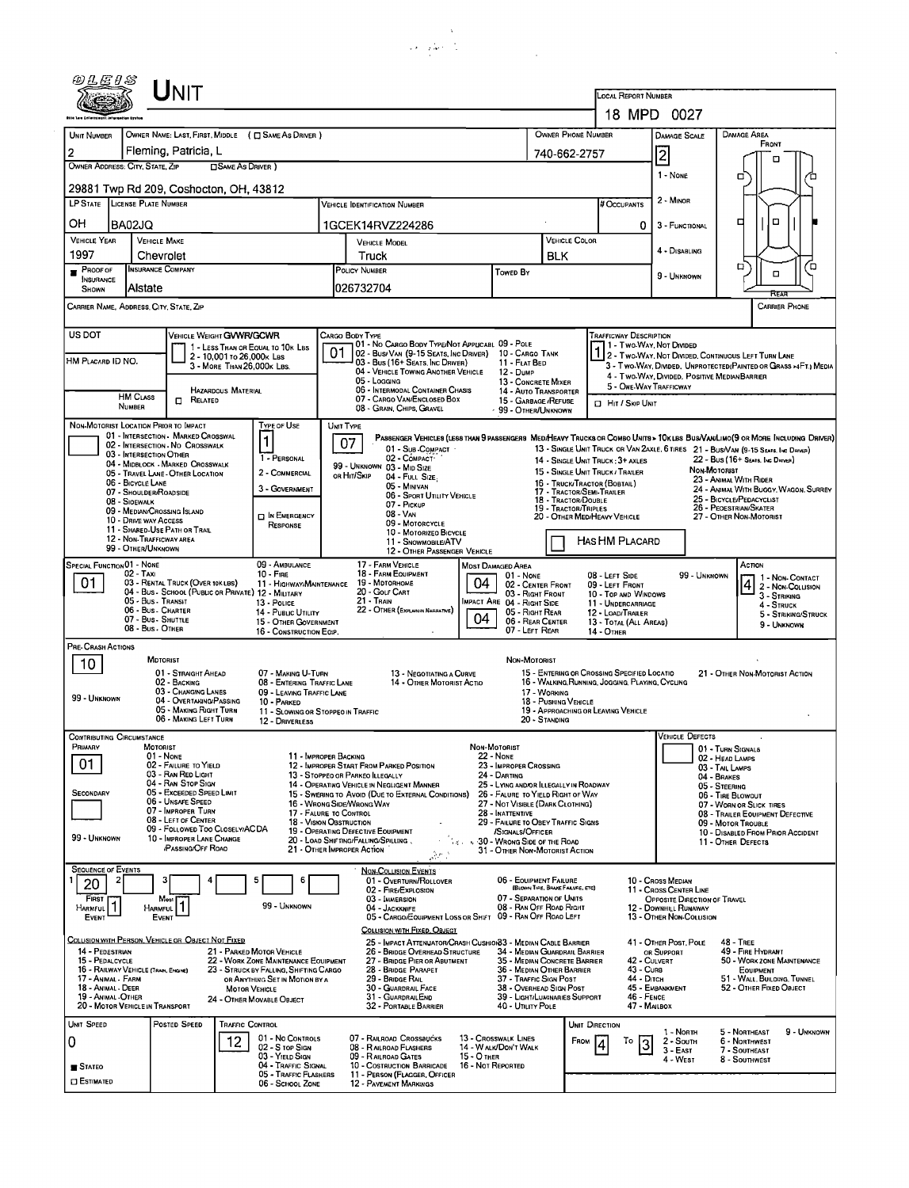| a king and con |  |
|----------------|--|
|                |  |

|                                                                |                                                |                                                                            |                                                                                |                                                          | والتعمير فكالمحاذ                                                                               |                                    |                                                                       |                                             |                                                                                                                              |                                                                                      |                                                                                                                               |  |  |  |  |
|----------------------------------------------------------------|------------------------------------------------|----------------------------------------------------------------------------|--------------------------------------------------------------------------------|----------------------------------------------------------|-------------------------------------------------------------------------------------------------|------------------------------------|-----------------------------------------------------------------------|---------------------------------------------|------------------------------------------------------------------------------------------------------------------------------|--------------------------------------------------------------------------------------|-------------------------------------------------------------------------------------------------------------------------------|--|--|--|--|
|                                                                |                                                | $J_{\mathsf{NIT}}$                                                         |                                                                                |                                                          |                                                                                                 |                                    |                                                                       |                                             | <b>LOCAL REPORT NUMBER</b>                                                                                                   |                                                                                      |                                                                                                                               |  |  |  |  |
|                                                                |                                                |                                                                            |                                                                                |                                                          |                                                                                                 |                                    |                                                                       |                                             |                                                                                                                              | 18 MPD 0027                                                                          |                                                                                                                               |  |  |  |  |
| UNIT NUMBER                                                    |                                                |                                                                            | OWNER NAME: LAST, FIRST, MIDDLE ( C SAME AS DRIVER )                           |                                                          |                                                                                                 |                                    |                                                                       |                                             | OWNER PHONE NUMBER                                                                                                           | <b>DAMAGE SCALE</b>                                                                  | <b>DAMAGE AREA</b>                                                                                                            |  |  |  |  |
| 2                                                              |                                                | Fleming, Patricia, L                                                       |                                                                                |                                                          |                                                                                                 |                                    |                                                                       | 740-662-2757                                |                                                                                                                              | $\overline{c}$                                                                       | FRONT                                                                                                                         |  |  |  |  |
| OWNER ADDRESS: CITY, STATE, ZIP                                |                                                | 29881 Twp Rd 209, Coshocton, OH, 43812                                     | <b>CISAME AS DRIVER</b> )                                                      |                                                          |                                                                                                 |                                    |                                                                       |                                             |                                                                                                                              | 1 - None                                                                             | о<br>□                                                                                                                        |  |  |  |  |
| LP STATE LICENSE PLATE NUMBER                                  |                                                |                                                                            |                                                                                |                                                          | <b>VEHICLE IDENTIFICATION NUMBER</b>                                                            |                                    |                                                                       |                                             | # Occupants                                                                                                                  | 2 - MINOR                                                                            |                                                                                                                               |  |  |  |  |
| OН                                                             | <b>BA02JO</b>                                  |                                                                            |                                                                                |                                                          | 1GCEK14RVZ224286                                                                                |                                    |                                                                       |                                             |                                                                                                                              | 0<br>3 - FUNCTIONAL                                                                  | O<br>□                                                                                                                        |  |  |  |  |
| VEHICLE YEAR                                                   | <b>VEHICLE MAKE</b>                            |                                                                            |                                                                                |                                                          | <b>VEHICLE MODEL</b>                                                                            |                                    |                                                                       | VEHICLE COLOR                               |                                                                                                                              |                                                                                      |                                                                                                                               |  |  |  |  |
| 1997                                                           | Chevrolet                                      |                                                                            |                                                                                |                                                          | Truck                                                                                           |                                    |                                                                       | BLK                                         |                                                                                                                              | 4 - DISABLING                                                                        | Ω.<br>ם′                                                                                                                      |  |  |  |  |
| $P_{\text{ROOF OF}}$<br><b>INSURANCE</b><br>SHOWN              | <b>INSURANCE COMPANY</b><br>Alstate            |                                                                            |                                                                                |                                                          | POLICY NUMBER<br>026732704                                                                      |                                    | <b>Towed By</b>                                                       |                                             |                                                                                                                              | 9 - Unknown                                                                          | $\Box$                                                                                                                        |  |  |  |  |
| CARRIER NAME, ADDRESS CITY STATE, ZIP                          |                                                |                                                                            |                                                                                |                                                          |                                                                                                 |                                    |                                                                       |                                             |                                                                                                                              |                                                                                      | Carrier Phone                                                                                                                 |  |  |  |  |
| US DOT                                                         |                                                | VEHICLE WEIGHT GVWR/GCWR                                                   |                                                                                | Cargo Body Type                                          | 01 - No CARGO BODY TYPE/NOT APPLICABL 09 - POLE                                                 |                                    |                                                                       |                                             | <b>TRAFFICWAY DESCRIPTION</b>                                                                                                |                                                                                      |                                                                                                                               |  |  |  |  |
| HM PLACARD ID NO.                                              |                                                | 2 - 10.001 to 26,000k Las                                                  | 1 - LESS THAN OR EQUAL TO 10K LBS                                              | 01                                                       | 02 - Bus/Van (9-15 Seats, Inc Driver) 10 - Cargo Tank<br>03 - Bus (16+ Seats, Inc Driver)       |                                    | 11 - FLAT BED                                                         |                                             |                                                                                                                              | 71 - Two Way, Not Divided                                                            | 1 2 - Two-Way, Not Divided, Continuous Left Turn Lane                                                                         |  |  |  |  |
|                                                                |                                                |                                                                            | 3 - MORE THAN 26.000K LBS.                                                     |                                                          | 04 - VEHICLE TOWING ANOTHER VEHICLE<br>05 - Logging                                             |                                    | 12 - Dump<br>13 - CONCRETE MIXER                                      |                                             | 3 - Two-Way, DIVIDED, UNPROTECTED (PAINTED OR GRASS >4FT.) MEDIA<br>4 - Two-Way, DIVIDED, POSITIVE MEDIAN BARRIER            |                                                                                      |                                                                                                                               |  |  |  |  |
| <b>HAZARDOUS MATERIAL</b><br><b>HM CLASS</b><br>$\Box$ Related |                                                |                                                                            |                                                                                |                                                          | 06 - INTERMODAL CONTAINER CHASIS<br>07 - CARGO VAN/ENCLOSED BOX                                 |                                    | <b>14 - AUTO TRANSPORTER</b><br>15 - GARBAGE /REFUSE                  |                                             |                                                                                                                              | 5 - ONE-WAY TRAFFICWAY                                                               |                                                                                                                               |  |  |  |  |
|                                                                | NUMBER                                         |                                                                            |                                                                                |                                                          | 08 - GRAIN, CHIPS, GRAVEL                                                                       |                                    | - 99 - OTHER/UNKNOWN                                                  | FI Hit / Skip Unit                          |                                                                                                                              |                                                                                      |                                                                                                                               |  |  |  |  |
| NON-MOTORIST LOCATION PRIOR TO IMPACT                          |                                                | 01 - INTERSECTION - MARKED CROSSWAL                                        | TYPE OF USE                                                                    | UNIT TYPE                                                |                                                                                                 |                                    |                                                                       |                                             |                                                                                                                              |                                                                                      | PASSENGER VEHICLES (LESS THAN 9 PASSENGERS MED/HEAVY TRUCKS OR COMBO UNITS > 10K LES BUS/VAWLIMO (9 OR MORE INCLUDING DRIVER) |  |  |  |  |
|                                                                | 03 - INTERSECTION OTHER                        | 02 - INTERSECTION - NO CROSSWALK                                           | 1<br>1 - PERSONAL                                                              | 07                                                       | 01 - SUB-COMPACT<br>02 - COMPACT                                                                |                                    |                                                                       |                                             |                                                                                                                              |                                                                                      | 13 - SINGLE UNIT TRUCK OR VAN 2AXLE, 6 TIRES 21 - BUS/VAN (9-15 SEATS, INC DRIVER)                                            |  |  |  |  |
|                                                                |                                                | 04 - MIDBLOCK - MARKED CROSSWALK<br>05 - TRAVEL LANE - OTHER LOCATION      | 2 - COMMERCIAL                                                                 | or Hit/Skip                                              | 99 - UNKNOWN 03 - MID SIZE<br>04 - Full Size                                                    |                                    |                                                                       |                                             | 15 - SINGLE UNIT TRUCK / TRAILER                                                                                             | 22 - BUS (16+ SEATS, INC DRIVER)<br>14 - SINGLE UNIT TRUCK: 3+ AXLES<br>NON-MOTORIST |                                                                                                                               |  |  |  |  |
|                                                                | 06 - BICYCLE LANE<br>07 - Shoulder/Roadside    |                                                                            | 3 - GOVERNMENT                                                                 |                                                          | 05 - Minivan<br>06 - SPORT UTILITY VEHICLE                                                      |                                    |                                                                       |                                             | 23 - ANIMAL WITH RIDER<br>16 - TRUCK/TRACTOR (BOBTAIL)<br>24 - ANIMAL WITH BUGGY, WAGON, SURREY<br>17 - Tractor/Semi-Trailer |                                                                                      |                                                                                                                               |  |  |  |  |
|                                                                | 08 - SIOEWALK<br>09 - MEDIAN/CROSSING ISLAND   |                                                                            |                                                                                |                                                          | 07 - Pickup                                                                                     |                                    |                                                                       | 18 - TRACTOR/DOUBLE<br>19 - TRACTOR/TRIPLES | 25 - BICYCLE/PEDACYCLIST<br>26 - PEOESTRIAN/SKATER                                                                           |                                                                                      |                                                                                                                               |  |  |  |  |
|                                                                | 10 - DRIVE WAY ACCESS                          | 11 - SHARED-USE PATH OR TRAIL                                              | <b>D</b> IN EMERGENCY<br>RESPONSE                                              |                                                          | 08 - VAN<br>09 - MOTORCYCLE<br>10 - MOTORIZEO BICYCLE                                           |                                    |                                                                       |                                             | 20 - OTHER MED/HEAVY VEHICLE                                                                                                 |                                                                                      | 27 - OTHER NON-MOTORIST                                                                                                       |  |  |  |  |
|                                                                | 12 - NON-TRAFFICWAY AREA<br>99 - OTHER/UNKNOWN |                                                                            |                                                                                |                                                          | 11 - SNOWMOBILE/ATV<br>12 - OTHER PASSENGER VEHICLE                                             |                                    |                                                                       |                                             | HAS HM PLACARD                                                                                                               |                                                                                      |                                                                                                                               |  |  |  |  |
| <b>SPECIAL FUNCTION 01 - NONE</b>                              |                                                |                                                                            | 09 - AMBULANCE                                                                 |                                                          | 17 - FARM VEHICLE                                                                               | Most Damaged Area                  |                                                                       |                                             |                                                                                                                              |                                                                                      | Астом                                                                                                                         |  |  |  |  |
| 01                                                             | 02 - TAXI                                      | 03 - RENTAL TRUCK (OVER 10K LBS)                                           | $10 -$ Fire<br>11 - HIGHWAY/MAINTENANCE                                        |                                                          | 18 - FARM EQUIPMENT<br>19 - MOTORHOME                                                           | 04                                 | 01 - None<br>02 - CENTER FRONT                                        |                                             | 08 - LEFT SIDE<br>09 - LEFT FRONT                                                                                            | 99 - UNKNOWN                                                                         | 1 1 - Non-Contact<br>2 - Non-COLLISION                                                                                        |  |  |  |  |
|                                                                | 05 - Bus - Transit                             | 04 - Bus - SCHOOL (PUBLIC OR PRIVATE) 12 - MILITARY                        | 13 - Pouce                                                                     |                                                          | 20 - GOLF CART<br><b>21 - TRAIN</b>                                                             |                                    | 03 - RIGHT FRONT<br>MPACT ARE 04 - RIGHT SIDE                         |                                             | 10 - TOP AND WINDOWS<br>11 - UNDERCARRIAGE                                                                                   |                                                                                      | 3 - STRIKING<br>4 - Struck                                                                                                    |  |  |  |  |
|                                                                | 06 - Bus. Charter<br>07 - Bus - SHUTTLE        |                                                                            | 14 - PUBLIC UTILITY<br>15 - OTHER GOVERNMENT                                   |                                                          | 22 - OTHER (EXPLAININ NARRATIVE)                                                                | 04                                 | 05 - RIGHT REAR<br>06 - REAR CENTER                                   |                                             | 12 - LOAD/TRAILER<br>13 - TOTAL (ALL AREAS)                                                                                  |                                                                                      | 5 - STRIKING/STRUCK<br>9 - UNKNOWN                                                                                            |  |  |  |  |
|                                                                | 08 - Bus. OTHER                                |                                                                            | 16 - CONSTRUCTION EOIP.                                                        |                                                          |                                                                                                 |                                    | 07 - LEFT REAR                                                        |                                             | 14 - Отнев                                                                                                                   |                                                                                      |                                                                                                                               |  |  |  |  |
| PRE-CRASH ACTIONS                                              | MOTORIST                                       |                                                                            |                                                                                |                                                          |                                                                                                 |                                    | NON-MOTORIST                                                          |                                             |                                                                                                                              |                                                                                      |                                                                                                                               |  |  |  |  |
| 10                                                             |                                                | 01 - STRAIGHT AHEAD                                                        | 07 - MAKING U-TURN                                                             |                                                          | 13 - NEGOTIATING A CURVE                                                                        |                                    |                                                                       |                                             | 15 - ENTERING OR CROSSING SPECIFIED LOCATIO                                                                                  |                                                                                      | 21 - OTHER NON-MOTORIST ACTION                                                                                                |  |  |  |  |
| 99 - Unknown                                                   |                                                | 02 - Backing<br>03 - Changing Lanes                                        | 08 - ENTERING TRAFFIC LANE<br>09 - LEAVING TRAFFIC LANE                        |                                                          | 14 - OTHER MOTORIST ACTIO                                                                       |                                    |                                                                       | 17 - WORKING                                | 16 - WALKING, RUNNING, JOGGING, PLAYING, CYCLING                                                                             |                                                                                      |                                                                                                                               |  |  |  |  |
|                                                                |                                                | 04 - OVERTAKING/PASSING<br>05 - MAKING RIGHT TURN<br>06 - MAKING LEFT TURN | 10 - PARKED<br>11 - SLOWING OR STOPPEO IN TRAFFIC                              |                                                          |                                                                                                 |                                    |                                                                       | 18 - Pushing Vehicle                        | 19 - APPROACHING OR LEAVING VEHICLE                                                                                          |                                                                                      |                                                                                                                               |  |  |  |  |
| <b>CONTRIBUTING CIRCUMSTANCE</b>                               |                                                |                                                                            | 12 - DRIVERLESS                                                                |                                                          |                                                                                                 |                                    |                                                                       | 20 - STANDING                               |                                                                                                                              | VEHICLE DEFECTS                                                                      |                                                                                                                               |  |  |  |  |
| PRIMARY                                                        | MOTORIST                                       |                                                                            |                                                                                |                                                          |                                                                                                 | NON-MOTORIST                       |                                                                       |                                             |                                                                                                                              |                                                                                      | 01 - TURN SIGNALS                                                                                                             |  |  |  |  |
| 01                                                             | 01 - None                                      | 02 - FAILURE TO YIELD                                                      |                                                                                | 11 - IMPROPER BACKING                                    | 12 - IMPROPER START FROM PARKED POSITION                                                        | 22 - None                          | 23 - IMPROPER CROSSING                                                |                                             |                                                                                                                              |                                                                                      | 02 - HEAD LAMPS<br>03 - TAIL LAMPS                                                                                            |  |  |  |  |
|                                                                |                                                | 03 - RAN RED LIGHT<br>04 - RAN STOP SIGN                                   |                                                                                |                                                          | 13 - STOPPEO OR PARKEO ILLEGALLY<br>14 - OPERATING VEHICLE IN NEGLIGENT MANNER                  |                                    | 24 - DARTING<br>25 - LYING AND/OR ILLEGALLY IN ROADWAY                |                                             |                                                                                                                              |                                                                                      | 04 - BRAKES<br>05 - STEERING                                                                                                  |  |  |  |  |
| <b>SECONDARY</b>                                               |                                                | 05 - Exceeped Speed Limit<br>06 - Unsafe Speed                             |                                                                                | 16 - WRONG SIDE/WRONG WAY                                | 15 - Swering to Avoid (Due to External Conditions)                                              |                                    | 26 - FALURE TO YIELD RIGHT OF WAY<br>27 - Not Visible (Dark Clothing) |                                             |                                                                                                                              |                                                                                      | 06 - TIRE BLOWOUT<br>07 - WORN OR SLICK TIRES                                                                                 |  |  |  |  |
|                                                                |                                                | 07 - IMPROPER TURN<br>08 - LEFT OF CENTER                                  |                                                                                | 17 - FALURE TO CONTROL<br><b>18 - VISION OBSTRUCTION</b> |                                                                                                 |                                    | 28 - INATTENTIVE<br>29 - FAILURE TO OBEY TRAFFIC SIGNS                |                                             |                                                                                                                              |                                                                                      | 08 - TRAILER EQUIPMENT DEFECTIVE<br>09 - MOTOR TROUBLE                                                                        |  |  |  |  |
| 99 - UNKNOWN                                                   |                                                | 09 - FOLLOWED TOO CLOSELY/ACDA<br>10 - IMPROPER LANE CHANGE                |                                                                                |                                                          | 19 - OPERATING DEFECTIVE EQUIPMENT<br>20 - LOAD SHIFTING/FALLING/SPILLING.                      |                                    | SIGNALS/OFFICER<br>. 30 - WRONG SIDE OF THE ROAD                      |                                             |                                                                                                                              |                                                                                      | 10 - DISABLED FROM PRIOR ACCIDENT<br>11 - OTHER DEFECTS                                                                       |  |  |  |  |
|                                                                |                                                | <b>PASSING/OFF ROAD</b>                                                    |                                                                                | 21 - OTHER IMPROPER ACTION                               | ŵЛ                                                                                              |                                    | 31 - OTHER NON-MOTORIST ACTION                                        |                                             |                                                                                                                              |                                                                                      |                                                                                                                               |  |  |  |  |
| <b>SEQUENCE OF EVENTS</b>                                      |                                                |                                                                            | 6                                                                              |                                                          | <b>NON-COLLISION EVENTS</b><br>01 - OVERTURN/ROLLOVER                                           |                                    | 06 - EQUIPMENT FAILURE                                                |                                             |                                                                                                                              | 10 - Cross Median                                                                    |                                                                                                                               |  |  |  |  |
| 20<br>FIRST                                                    |                                                | Most                                                                       |                                                                                |                                                          | 02 - FIRE/EXPLOSION<br>03 - IMMERSION                                                           |                                    | 07 - SEPARATION OF UNITS                                              | (BLOWN TIRE, BRAKE FAILURE, ETC)            |                                                                                                                              | 11 - Cross Center Line<br>OPPOSITE DIRECTION OF TRAVEL                               |                                                                                                                               |  |  |  |  |
| HARMFUL <sup>1</sup><br>EVENT                                  | <b>HARMFUL</b><br>EVENT                        |                                                                            | 99 - UNKNOWN                                                                   |                                                          | 04 - JACKKNIFE<br>05 - CARGO/EQUIPMENT LOSS OR SHIFT 09 - RAN OFF ROAD LEFT                     |                                    | 08 - RAN OFF ROAD RIGHT                                               |                                             |                                                                                                                              | 12 - DOWNHILL RUNAWAY<br>13 - OTHER NON-COLLISION                                    |                                                                                                                               |  |  |  |  |
|                                                                |                                                |                                                                            |                                                                                |                                                          | COLLISION WITH FIXED, OBJECT                                                                    |                                    |                                                                       |                                             |                                                                                                                              |                                                                                      |                                                                                                                               |  |  |  |  |
| 14 - PEDESTRIAN                                                |                                                | COLLISION WITH PERSON, VEHICLE OR OBJECT NOT FIXED                         | 21 - PARKED MOTOR VEHICLE                                                      |                                                          | 25 - IMPACT ATTENUATOR/CRASH CUSHION33 - MEDIAN CABLE BARRIER<br>26 - BRIDGE OVERHEAD STRUCTURE |                                    | 34 - MEDIAN GUARDRAIL BARRIER                                         |                                             |                                                                                                                              | 41 - OTHER POST, POLE<br>OR SUPPORT                                                  | <b>48 - TREE</b><br>49 - FIRE HYDRANT                                                                                         |  |  |  |  |
| 15 - PEDALCYCLE                                                | 16 - RAILWAY VEHICLE (TRAIN, ENGINE)           |                                                                            | 22 - WORK ZONE MAINTENANCE EQUIPMENT<br>23 - STRUCK BY FALLING, SHIFTING CARGO |                                                          | 27 - BRIDGE PIER OR ABUTMENT<br>28 - BRIDGE PARAPET                                             |                                    | 35 - Median Concrete Barrier<br>36 - MEDIAN OTHER BARRIER             |                                             |                                                                                                                              | 42 - CULVERT<br>43 - Curs                                                            | 50 - WORK ZONE MAINTENANCE<br>EQUIPMENT                                                                                       |  |  |  |  |
| 17 - Animal - Farm<br>18 - ANIMAL - DEER                       |                                                |                                                                            | OR ANYTHING SET IN MOTION BY A<br>MOTOR VEHICLE                                |                                                          | 29 - BRIDGE RAIL<br>30 - GUARDRAIL FACE                                                         |                                    | 37 - TRAFFIC SIGN POST<br>38 - OVERHEAD SIGN POST                     |                                             |                                                                                                                              | 44 - Опсн<br>45 - Embankment                                                         | 51 - WALL, BUILOING, TUNNEL<br>52 - OTHER FIXED OBJECT                                                                        |  |  |  |  |
| 19 - ANIMAL -OTHER                                             | 20 - MOTOR VEHICLE IN TRANSPORT                |                                                                            | 24 - OTHER MOVABLE OBJECT                                                      |                                                          | 31 - GUARDRAILEND<br>32 - PORTABLE BARRIER                                                      |                                    | 39 - LIGHT/LUMINARIES SUPPORT<br>40 - UTILITY POLE                    |                                             |                                                                                                                              | 46 - Fence<br>47 - MALBOX                                                            |                                                                                                                               |  |  |  |  |
| UNIT SPEED                                                     |                                                | POSTED SPEED                                                               | TRAFFIC CONTROL                                                                |                                                          |                                                                                                 |                                    |                                                                       |                                             | UNIT DIRECTION                                                                                                               |                                                                                      |                                                                                                                               |  |  |  |  |
| 0                                                              |                                                | 12                                                                         | 01 - No CONTROLS                                                               |                                                          | 07 - RAILROAD CROSSBUCKS<br>08 - RAILROAD FLASHERS                                              | 13 - Crosswalk LINES               | 14 - W ALK/DON'T WALK                                                 |                                             | FROM<br>To                                                                                                                   | 1 - North<br>2 - South<br>3                                                          | 9 - UNKNOWN<br>5 - Northeast<br>6 - NORTHWEST                                                                                 |  |  |  |  |
|                                                                |                                                |                                                                            | 02 - S TOP SIGN<br>03 - YIELD SIGN<br>04 - TRAFFIC SIGNAL                      |                                                          | 09 - RAILROAD GATES<br><b>10 - COSTRUCTION BARRICADE</b>                                        | $15 - O$ Ther<br>16 - Not Reported |                                                                       |                                             |                                                                                                                              | $3 - EAST$<br>4 - WEST                                                               | 7 - SOUTHEAST<br>8 - SOUTHWEST                                                                                                |  |  |  |  |
| <b>s</b> Stated<br>ESTIMATED                                   |                                                |                                                                            | 05 - Traffic Flashers<br>06 - SCHOOL ZONE                                      |                                                          | 11 - PERSON (FLAGGER, OFFICER<br><b>12 - PAVEMENT MARKINGS</b>                                  |                                    |                                                                       |                                             |                                                                                                                              |                                                                                      |                                                                                                                               |  |  |  |  |
|                                                                |                                                |                                                                            |                                                                                |                                                          |                                                                                                 |                                    |                                                                       |                                             |                                                                                                                              |                                                                                      |                                                                                                                               |  |  |  |  |

 $\label{eq:2} \mathcal{L} = \mathcal{L} \left( \mathcal{L} \right) \mathcal{L} \left( \mathcal{L} \right)$